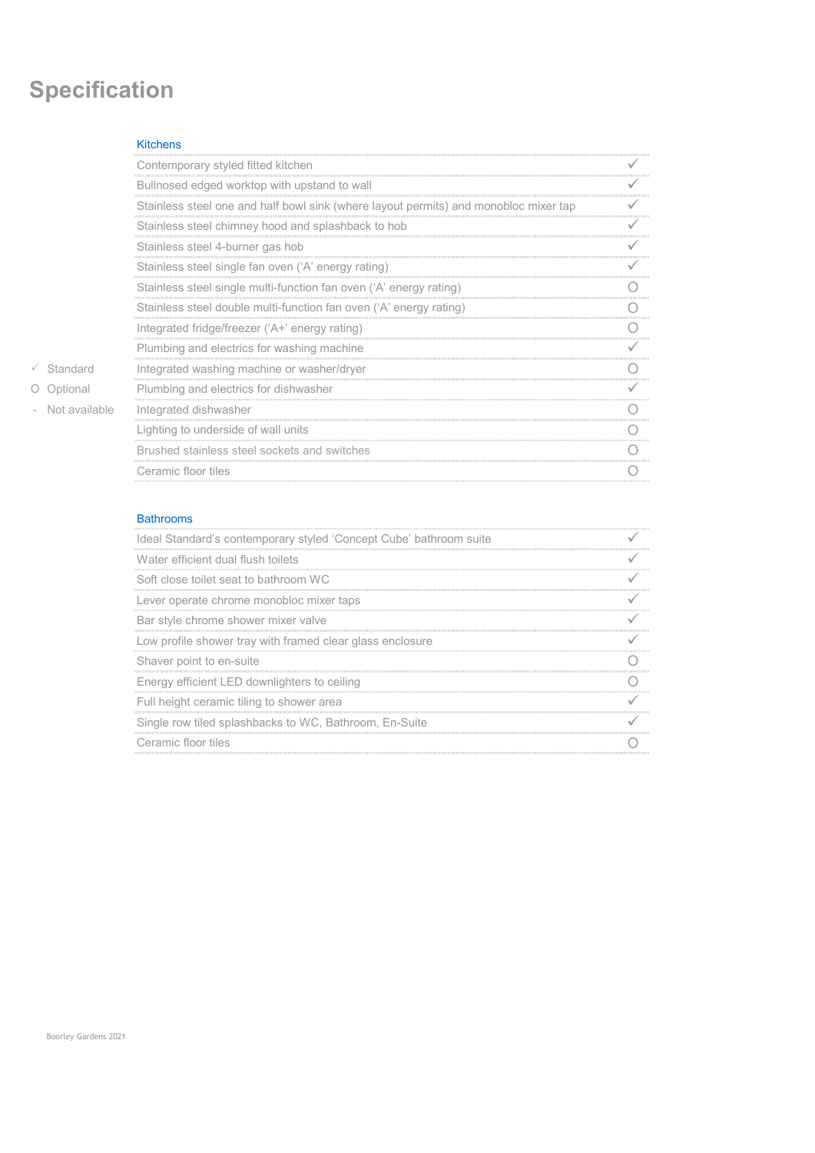# **Specification**

# Kitchens

|  |               | Contemporary styled fitted kitchen                                                   |  |
|--|---------------|--------------------------------------------------------------------------------------|--|
|  |               | Bullnosed edged worktop with upstand to wall                                         |  |
|  |               | Stainless steel one and half bowl sink (where layout permits) and monobloc mixer tap |  |
|  |               | Stainless steel chimney hood and splashback to hob                                   |  |
|  |               | Stainless steel 4-burner gas hob                                                     |  |
|  |               | Stainless steel single fan oven ('A' energy rating)                                  |  |
|  |               | Stainless steel single multi-function fan oven ('A' energy rating)                   |  |
|  |               | Stainless steel double multi-function fan oven ('A' energy rating)                   |  |
|  |               | Integrated fridge/freezer ('A+' energy rating)                                       |  |
|  |               | Plumbing and electrics for washing machine                                           |  |
|  | Standard      | Integrated washing machine or washer/dryer                                           |  |
|  | O Optional    | Plumbing and electrics for dishwasher                                                |  |
|  | Not available | Integrated dishwasher                                                                |  |
|  |               | Lighting to underside of wall units                                                  |  |
|  |               | Brushed stainless steel sockets and switches                                         |  |
|  |               | Ceramic floor tiles                                                                  |  |
|  |               |                                                                                      |  |

# Bathrooms

| Ideal Standard's contemporary styled 'Concept Cube' bathroom suite |  |
|--------------------------------------------------------------------|--|
| Water efficient dual flush toilets                                 |  |
| Soft close toilet seat to bathroom WC                              |  |
| Lever operate chrome monobloc mixer taps                           |  |
| Bar style chrome shower mixer valve                                |  |
| Low profile shower tray with framed clear glass enclosure          |  |
| Shaver point to en-suite                                           |  |
| Energy efficient LED downlighters to ceiling                       |  |
| Full height ceramic tiling to shower area                          |  |
| Single row tiled splashbacks to WC, Bathroom, En-Suite             |  |
| Ceramic floor tiles                                                |  |
|                                                                    |  |